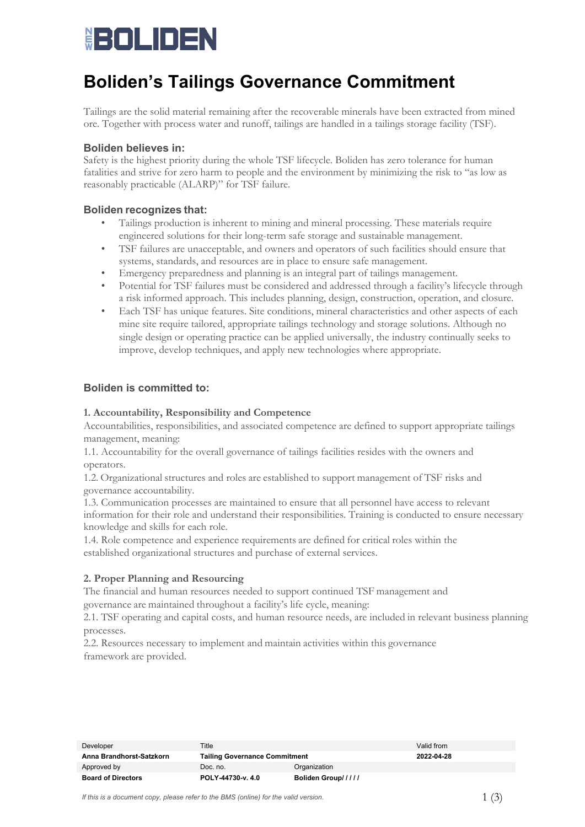# **HOLIDEN**

# **Boliden's Tailings Governance Commitment**

Tailings are the solid material remaining after the recoverable minerals have been extracted from mined ore. Together with process water and runoff, tailings are handled in a tailings storage facility (TSF).

# **Boliden believes in:**

Safety is the highest priority during the whole TSF lifecycle. Boliden has zero tolerance for human fatalities and strive for zero harm to people and the environment by minimizing the risk to "as low as reasonably practicable (ALARP)" for TSF failure.

## **Boliden recognizes that:**

- Tailings production is inherent to mining and mineral processing. These materials require engineered solutions for their long-term safe storage and sustainable management.
- TSF failures are unacceptable, and owners and operators of such facilities should ensure that systems, standards, and resources are in place to ensure safe management.
- Emergency preparedness and planning is an integral part of tailings management.
- Potential for TSF failures must be considered and addressed through a facility's lifecycle through a risk informed approach. This includes planning, design, construction, operation, and closure.
- Each TSF has unique features. Site conditions, mineral characteristics and other aspects of each mine site require tailored, appropriate tailings technology and storage solutions. Although no single design or operating practice can be applied universally, the industry continually seeks to improve, develop techniques, and apply new technologies where appropriate.

# **Boliden is committed to:**

### **1. Accountability, Responsibility and Competence**

Accountabilities, responsibilities, and associated competence are defined to support appropriate tailings management, meaning:

1.1. Accountability for the overall governance of tailings facilities resides with the owners and operators.

1.2. Organizational structures and roles are established to support management of TSF risks and governance accountability.   

1.3. Communication processes are maintained to ensure that all personnel have access to relevant information for their role and understand their responsibilities. Training is conducted to ensure necessary knowledge and skills for each role.

1.4. Role competence and experience requirements are defined for critical roles within the established organizational structures and purchase of external services.

## **2. Proper Planning and Resourcing**

The financial and human resources needed to support continued TSF management and governance are maintained throughout a facility's life cycle, meaning:   

2.1. TSF operating and capital costs, and human resource needs, are included in relevant business planning processes.   

2.2. Resources necessary to implement and maintain activities within this governance framework are provided.   

| Developer                 | Title                                |                    | Valid from |
|---------------------------|--------------------------------------|--------------------|------------|
| Anna Brandhorst-Satzkorn  | <b>Tailing Governance Commitment</b> |                    | 2022-04-28 |
| Approved by               | Doc. no.                             | Organization       |            |
| <b>Board of Directors</b> | POLY-44730-y. 4.0                    | Boliden Group///// |            |

*If this is a document copy, please refer to the BMS (online) for the valid version.*  $1 \n\tag{3}$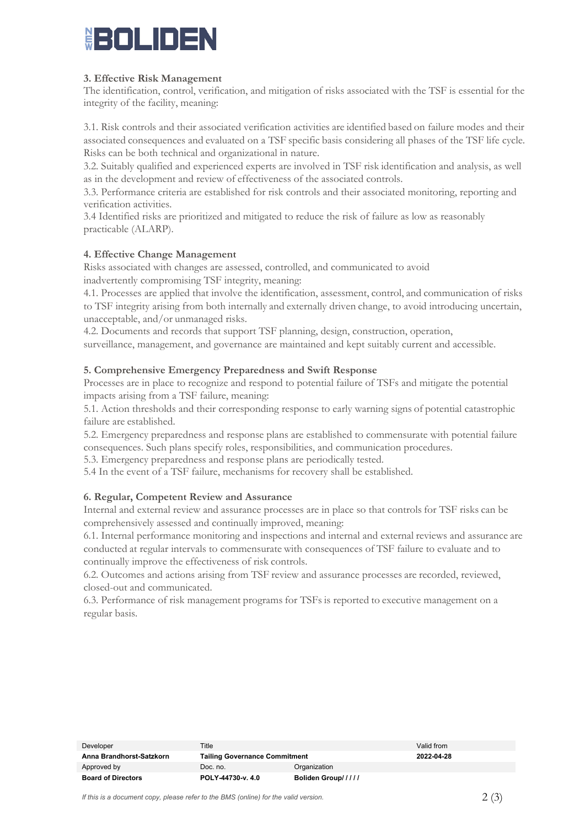# ▓▅▞▅▍▁▏▎▅▍▅▚

### **3. Effective Risk Management**

The identification, control, verification, and mitigation of risks associated with the TSF is essential for the integrity of the facility, meaning:

3.1. Risk controls and their associated verification activities are identified based on failure modes and their associated consequences and evaluated on a TSF specific basis considering all phases of the TSF life cycle. Risks can be both technical and organizational in nature.      

3.2. Suitably qualified and experienced experts are involved in TSF risk identification and analysis, as well as in the development and review of effectiveness of the associated controls.   

3.3. Performance criteria are established for risk controls and their associated monitoring, reporting and verification activities.

3.4 Identified risks are prioritized and mitigated to reduce the risk of failure as low as reasonably practicable (ALARP).

### **4. Effective Change Management**

Risks associated with changes are assessed, controlled, and communicated to avoid inadvertently compromising TSF integrity, meaning:

4.1. Processes are applied that involve the identification, assessment, control, and communication of risks to TSF integrity arising from both internally and externally driven change, to avoid introducing uncertain, unacceptable, and/or unmanaged risks.

4.2. Documents and records that support TSF planning, design, construction, operation, surveillance, management, and governance are maintained and kept suitably current and accessible.

### **5. Comprehensive Emergency Preparedness and Swift Response**

Processes are in place to recognize and respond to potential failure of TSFs and mitigate the potential impacts arising from a TSF failure, meaning:

5.1. Action thresholds and their corresponding response to early warning signs of potential catastrophic failure are established.   

5.2. Emergency preparedness and response plans are established to commensurate with potential failure consequences. Such plans specify roles, responsibilities, and communication procedures.

5.3. Emergency preparedness and response plans are periodically tested.

5.4 In the event of a TSF failure, mechanisms for recovery shall be established.

## **6. Regular, Competent Review and Assurance**

Internal and external review and assurance processes are in place so that controls for TSF risks can be comprehensively assessed and continually improved, meaning:    

6.1. Internal performance monitoring and inspections and internal and external reviews and assurance are conducted at regular intervals to commensurate with consequences of TSF failure to evaluate and to continually improve the effectiveness of risk controls.   

6.2. Outcomes and actions arising from TSF review and assurance processes are recorded, reviewed, closed-out and communicated.   

6.3. Performance of risk management programs for TSFs is reported to executive management on a regular basis.   

| Developer                 | Title                                |                    | Valid from |
|---------------------------|--------------------------------------|--------------------|------------|
| Anna Brandhorst-Satzkorn  | <b>Tailing Governance Commitment</b> |                    | 2022-04-28 |
| Approved by               | Doc. no.                             | Organization       |            |
| <b>Board of Directors</b> | POLY-44730-v. 4.0                    | Boliden Group///// |            |

*If this is a document copy, please refer to the BMS (online) for the valid version.*  $2 \tag{3}$